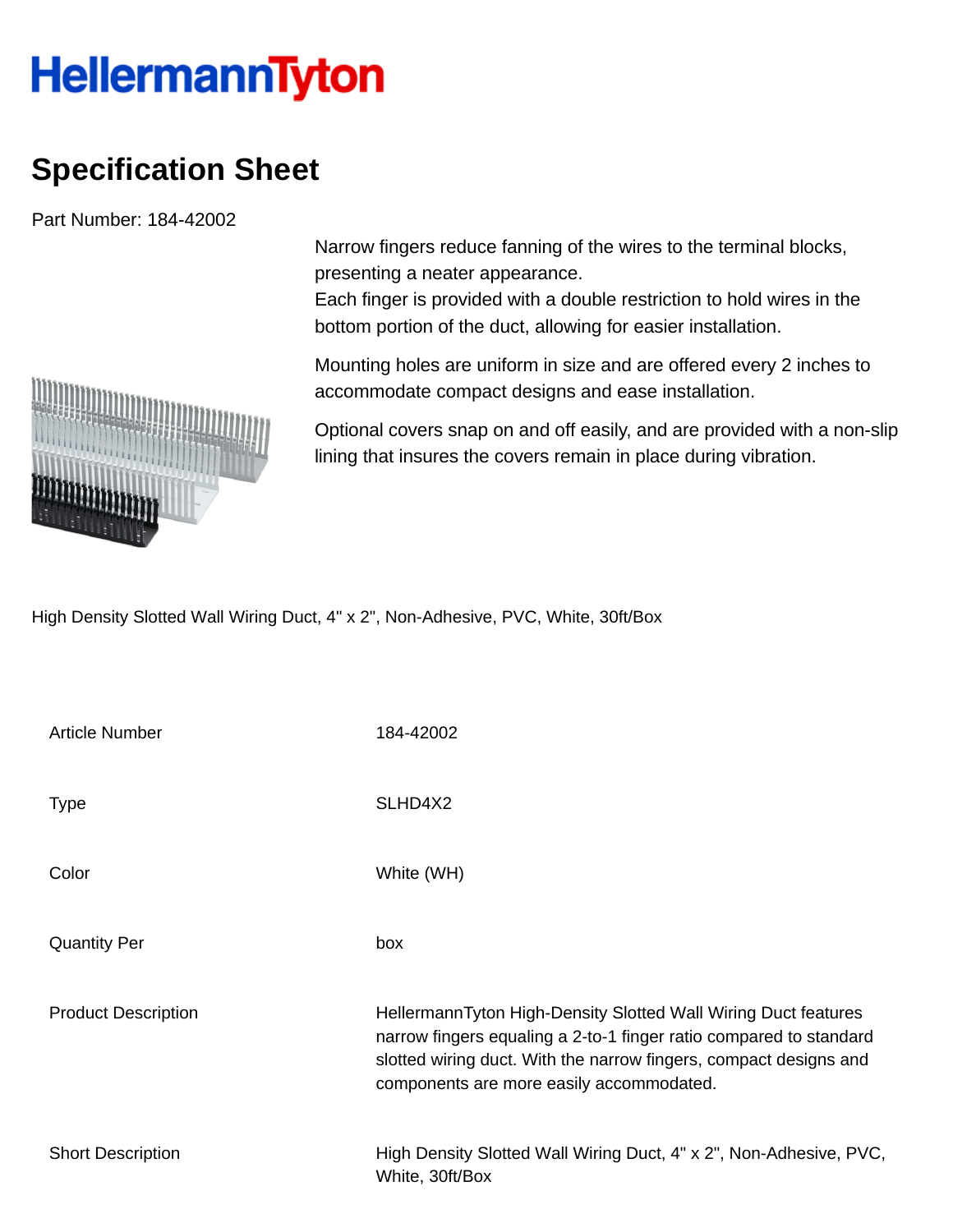## **HellermannTyton**

## **Specification Sheet**

Part Number: 184-42002

Narrow fingers reduce fanning of the wires to the terminal blocks, presenting a neater appearance.

Each finger is provided with a double restriction to hold wires in the bottom portion of the duct, allowing for easier installation.

Mounting holes are uniform in size and are offered every 2 inches to accommodate compact designs and ease installation.

Optional covers snap on and off easily, and are provided with a non-slip lining that insures the covers remain in place during vibration.

High Density Slotted Wall Wiring Duct, 4" x 2", Non-Adhesive, PVC, White, 30ft/Box

| <b>Article Number</b>      | 184-42002                                                                                                                                                                                                                                             |
|----------------------------|-------------------------------------------------------------------------------------------------------------------------------------------------------------------------------------------------------------------------------------------------------|
| <b>Type</b>                | SLHD4X2                                                                                                                                                                                                                                               |
| Color                      | White (WH)                                                                                                                                                                                                                                            |
| <b>Quantity Per</b>        | box                                                                                                                                                                                                                                                   |
| <b>Product Description</b> | HellermannTyton High-Density Slotted Wall Wiring Duct features<br>narrow fingers equaling a 2-to-1 finger ratio compared to standard<br>slotted wiring duct. With the narrow fingers, compact designs and<br>components are more easily accommodated. |
| <b>Short Description</b>   | High Density Slotted Wall Wiring Duct, 4" x 2", Non-Adhesive, PVC,<br>White, 30ft/Box                                                                                                                                                                 |

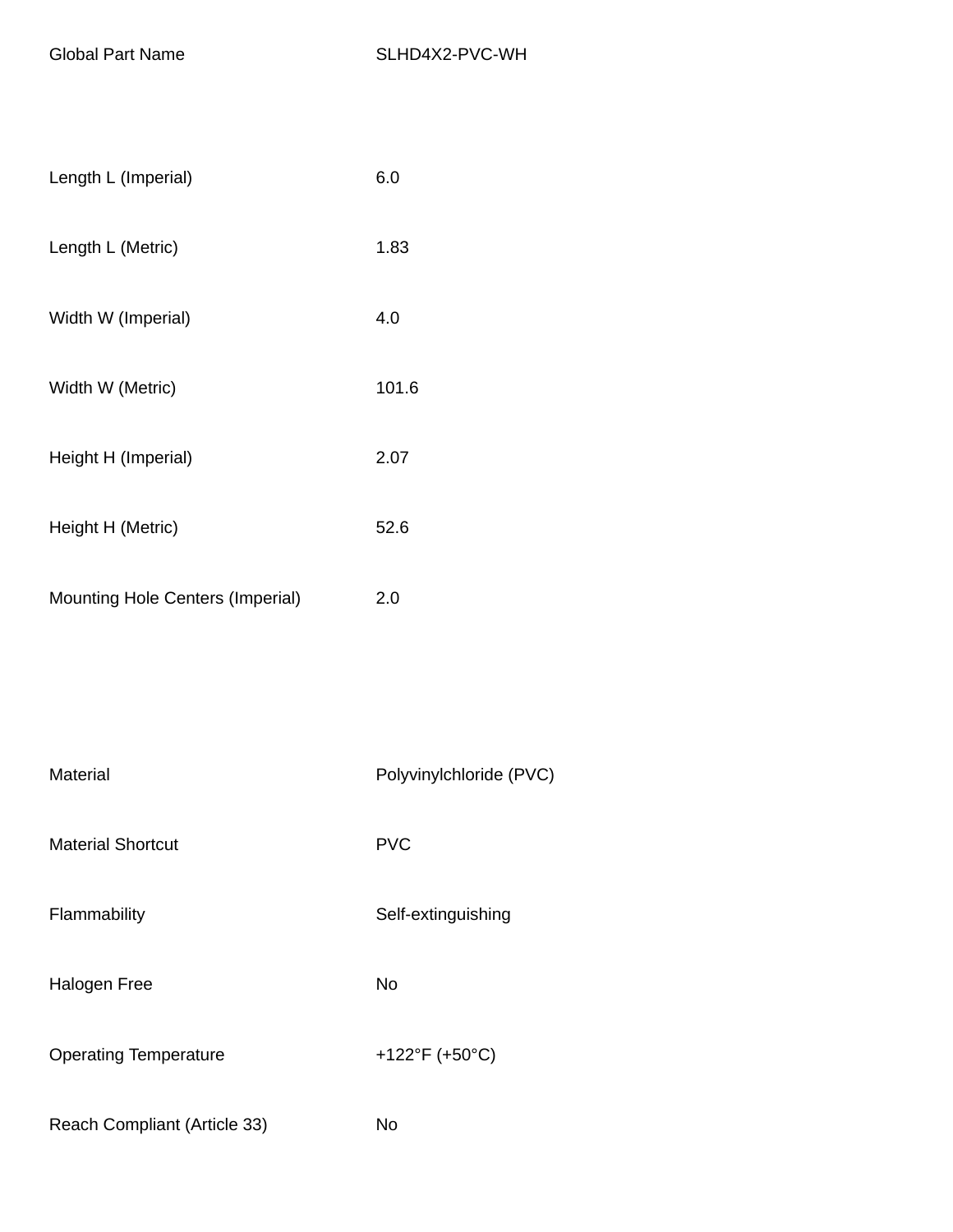| Length L (Imperial)                     | 6.0   |
|-----------------------------------------|-------|
| Length L (Metric)                       | 1.83  |
| Width W (Imperial)                      | 4.0   |
| Width W (Metric)                        | 101.6 |
| Height H (Imperial)                     | 2.07  |
| Height H (Metric)                       | 52.6  |
| <b>Mounting Hole Centers (Imperial)</b> | 2.0   |

| Material                     | Polyvinylchloride (PVC) |
|------------------------------|-------------------------|
| <b>Material Shortcut</b>     | <b>PVC</b>              |
| Flammability                 | Self-extinguishing      |
| Halogen Free                 | <b>No</b>               |
| <b>Operating Temperature</b> | +122°F (+50°C)          |
| Reach Compliant (Article 33) | No                      |